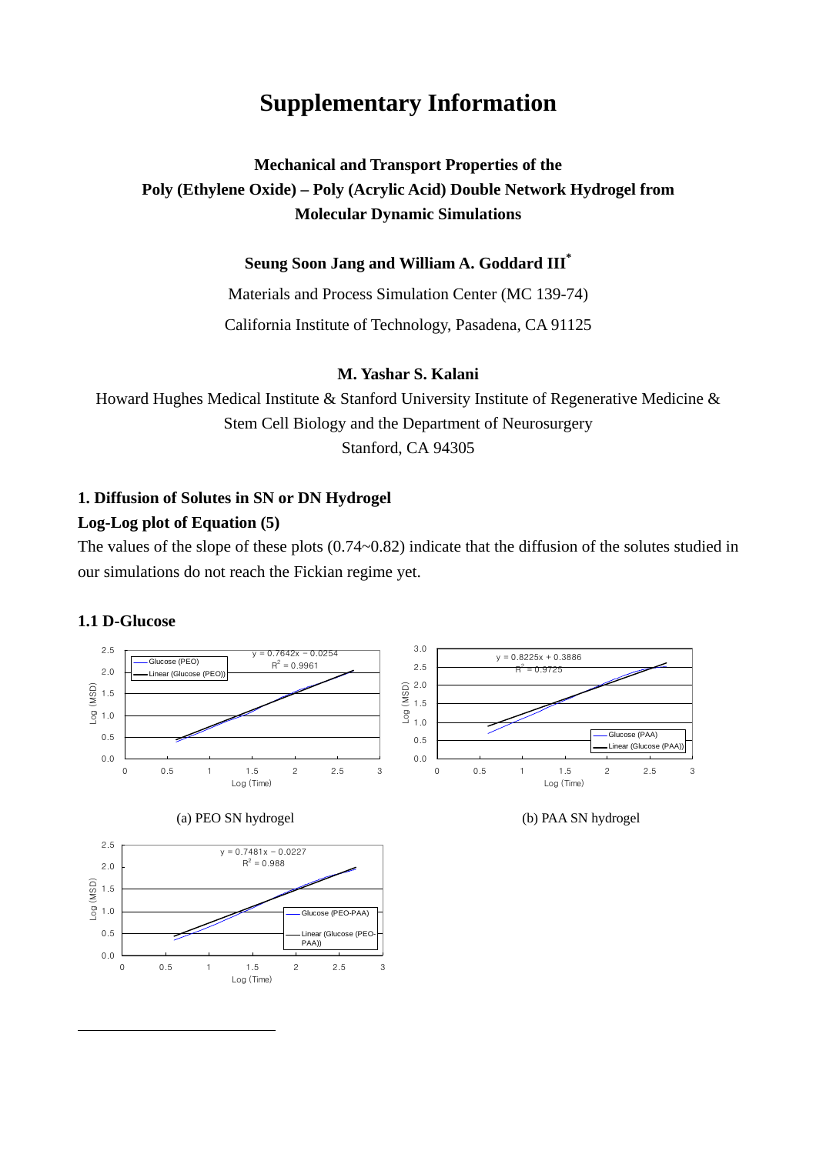# **Supplementary Information**

## **Mechanical and Transport Properties of the Poly (Ethylene Oxide) – Poly (Acrylic Acid) Double Network Hydrogel from Molecular Dynamic Simulations**

### **Seung Soon Jang and William A. Goddard II[I\\*](#page-0-0)**

Materials and Process Simulation Center (MC 139-74)

California Institute of Technology, Pasadena, CA 91125

### **M. Yashar S. Kalani**

Howard Hughes Medical Institute & Stanford University Institute of Regenerative Medicine & Stem Cell Biology and the Department of Neurosurgery Stanford, CA 94305

### **1. Diffusion of Solutes in SN or DN Hydrogel**

### **Log-Log plot of Equation (5)**

The values of the slope of these plots (0.74~0.82) indicate that the diffusion of the solutes studied in our simulations do not reach the Fickian regime yet.

#### **1.1 D-Glucose**

<span id="page-0-0"></span>